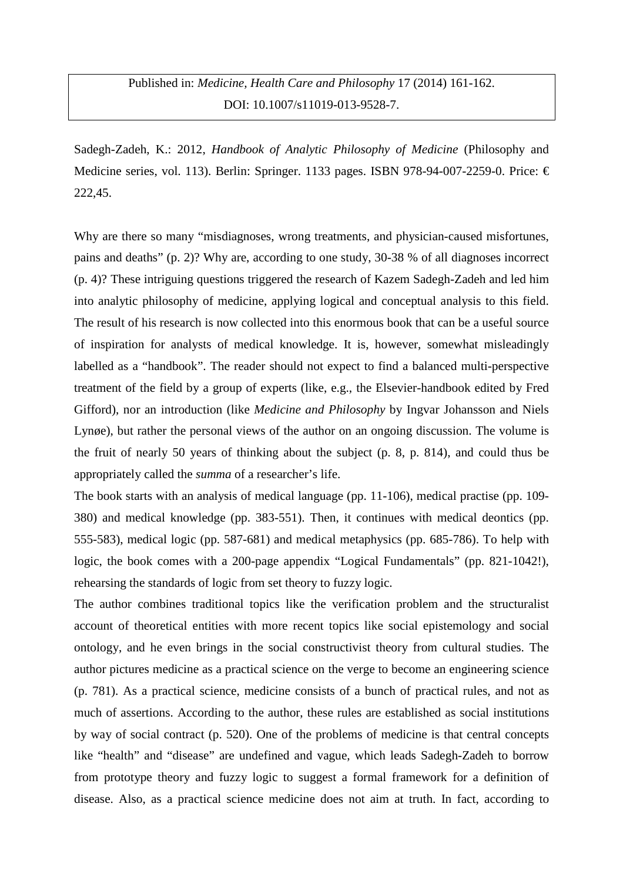Sadegh-Zadeh, K.: 2012, *Handbook of Analytic Philosophy of Medicine* (Philosophy and Medicine series, vol. 113). Berlin: Springer. 1133 pages. ISBN 978-94-007-2259-0. Price:  $\in$ 222,45.

Why are there so many "misdiagnoses, wrong treatments, and physician-caused misfortunes, pains and deaths" (p. 2)? Why are, according to one study, 30-38 % of all diagnoses incorrect (p. 4)? These intriguing questions triggered the research of Kazem Sadegh-Zadeh and led him into analytic philosophy of medicine, applying logical and conceptual analysis to this field. The result of his research is now collected into this enormous book that can be a useful source of inspiration for analysts of medical knowledge. It is, however, somewhat misleadingly labelled as a "handbook". The reader should not expect to find a balanced multi-perspective treatment of the field by a group of experts (like, e.g., the Elsevier-handbook edited by Fred Gifford), nor an introduction (like *Medicine and Philosophy* by Ingvar Johansson and Niels Lynge), but rather the personal views of the author on an ongoing discussion. The volume is the fruit of nearly 50 years of thinking about the subject (p. 8, p. 814), and could thus be appropriately called the *summa* of a researcher's life.

The book starts with an analysis of medical language (pp. 11-106), medical practise (pp. 109- 380) and medical knowledge (pp. 383-551). Then, it continues with medical deontics (pp. 555-583), medical logic (pp. 587-681) and medical metaphysics (pp. 685-786). To help with logic, the book comes with a 200-page appendix "Logical Fundamentals" (pp. 821-1042!), rehearsing the standards of logic from set theory to fuzzy logic.

The author combines traditional topics like the verification problem and the structuralist account of theoretical entities with more recent topics like social epistemology and social ontology, and he even brings in the social constructivist theory from cultural studies. The author pictures medicine as a practical science on the verge to become an engineering science (p. 781). As a practical science, medicine consists of a bunch of practical rules, and not as much of assertions. According to the author, these rules are established as social institutions by way of social contract (p. 520). One of the problems of medicine is that central concepts like "health" and "disease" are undefined and vague, which leads Sadegh-Zadeh to borrow from prototype theory and fuzzy logic to suggest a formal framework for a definition of disease. Also, as a practical science medicine does not aim at truth. In fact, according to